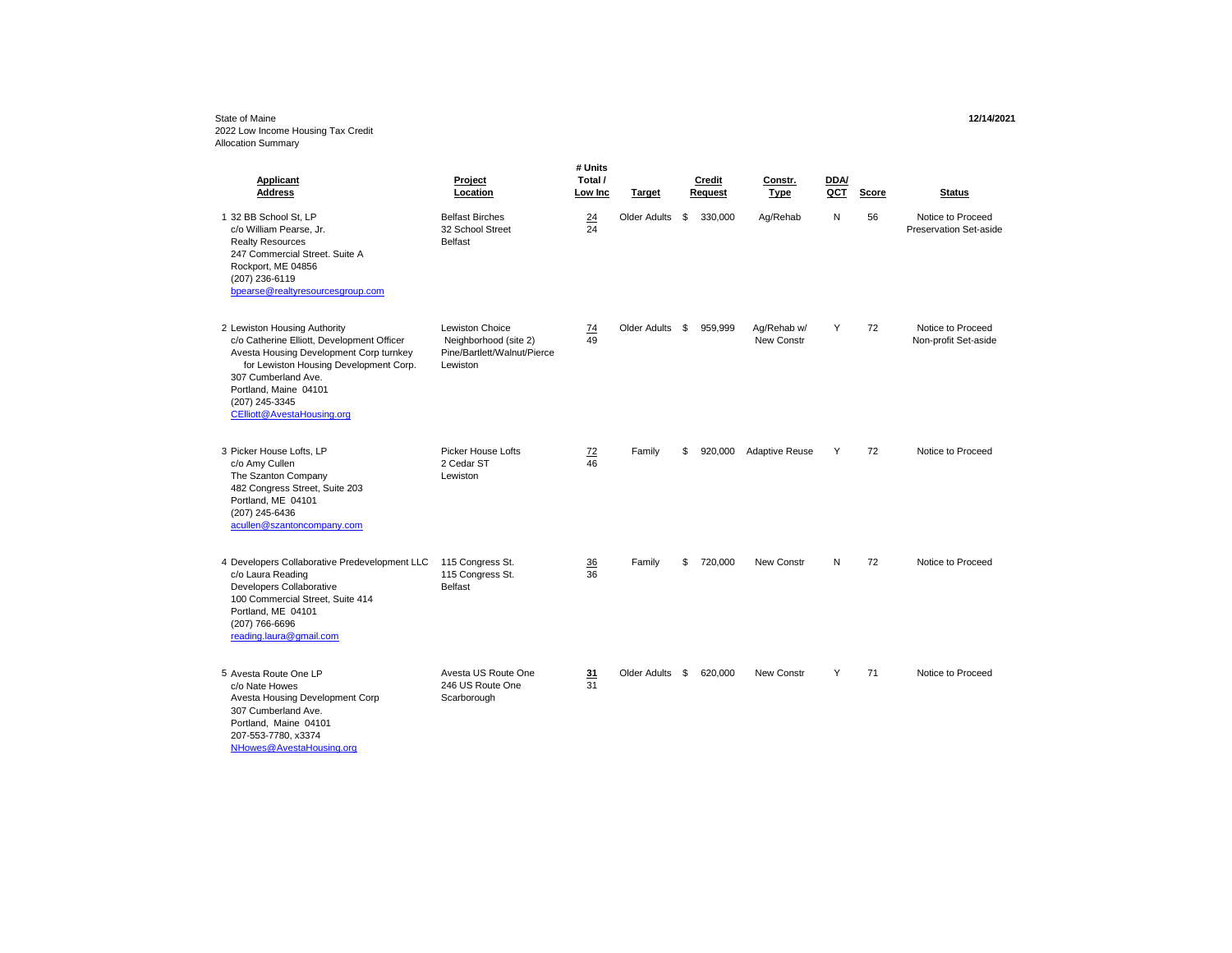## State of Maine **12/14/2021** 2022 Low Income Housing Tax Credit Allocation Summary

| <b>Applicant</b><br><b>Address</b>                                                                                                                                                                                                                              | Project<br>Location                                                                        | # Units<br>Total /<br>Low Inc | Target          | Credit<br>Request | Constr.<br>Type           | DDA/<br>QCT | Score | <b>Status</b>                               |
|-----------------------------------------------------------------------------------------------------------------------------------------------------------------------------------------------------------------------------------------------------------------|--------------------------------------------------------------------------------------------|-------------------------------|-----------------|-------------------|---------------------------|-------------|-------|---------------------------------------------|
| 1 32 BB School St. LP<br>c/o William Pearse, Jr.<br><b>Realty Resources</b><br>247 Commercial Street, Suite A<br>Rockport, ME 04856<br>(207) 236-6119<br>bpearse@realtyresourcesgroup.com                                                                       | <b>Belfast Birches</b><br>32 School Street<br><b>Belfast</b>                               | 24<br>24                      | Older Adults    | \$<br>330.000     | Aq/Rehab                  | N           | 56    | Notice to Proceed<br>Preservation Set-aside |
| 2 Lewiston Housing Authority<br>c/o Catherine Elliott, Development Officer<br>Avesta Housing Development Corp turnkey<br>for Lewiston Housing Development Corp.<br>307 Cumberland Ave.<br>Portland, Maine 04101<br>(207) 245-3345<br>CElliott@AvestaHousing.org | <b>Lewiston Choice</b><br>Neighborhood (site 2)<br>Pine/Bartlett/Walnut/Pierce<br>Lewiston | <u>74</u><br>49               | Older Adults \$ | 959,999           | Aq/Rehab w/<br>New Constr | Y           | 72    | Notice to Proceed<br>Non-profit Set-aside   |
| 3 Picker House Lofts, LP<br>c/o Amy Cullen<br>The Szanton Company<br>482 Congress Street, Suite 203<br>Portland, ME 04101<br>(207) 245-6436<br>acullen@szantoncompany.com                                                                                       | <b>Picker House Lofts</b><br>2 Cedar ST<br>Lewiston                                        | 72<br>46                      | Family          | \$<br>920,000     | <b>Adaptive Reuse</b>     | Y           | 72    | Notice to Proceed                           |
| 4 Developers Collaborative Predevelopment LLC<br>c/o Laura Reading<br>Developers Collaborative<br>100 Commercial Street, Suite 414<br>Portland, ME 04101<br>(207) 766-6696<br>reading.laura@gmail.com                                                           | 115 Congress St.<br>115 Congress St.<br><b>Belfast</b>                                     | 36<br>36                      | Family          | \$<br>720,000     | New Constr                | N           | 72    | Notice to Proceed                           |
| 5 Avesta Route One LP<br>c/o Nate Howes<br>Avesta Housing Development Corp<br>307 Cumberland Ave.<br>Portland, Maine 04101<br>207-553-7780, x3374<br>NHowes@AvestaHousing.org                                                                                   | Avesta US Route One<br>246 US Route One<br>Scarborough                                     | 31<br>31                      | Older Adults \$ | 620,000           | New Constr                | Y           | 71    | Notice to Proceed                           |